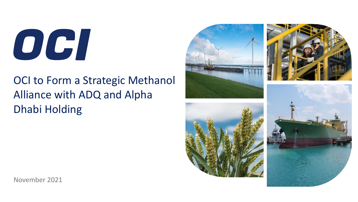OGI

# OCI to Form a Strategic Methanol Alliance with ADQ and Alpha Dhabi Holding



November 2021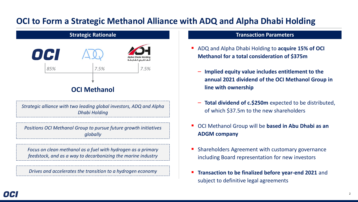## **OCI to Form a Strategic Methanol Alliance with ADQ and Alpha Dhabi Holding**



*Strategic alliance with two leading global investors, ADQ and Alpha Dhabi Holding*

*Positions OCI Methanol Group to pursue future growth initiatives globally*

*Focus on clean methanol as a fuel with hydrogen as a primary feedstock, and as a way to decarbonizing the marine industry*

*Drives and accelerates the transition to a hydrogen economy*

#### **Transaction Parameters**

- ADQ and Alpha Dhabi Holding to **acquire 15% of OCI Methanol for a total consideration of \$375m**
	- **Implied equity value includes entitlement to the annual 2021 dividend of the OCI Methanol Group in line with ownership**
	- **Total dividend of c.\$250m** expected to be distributed, of which \$37.5m to the new shareholders
- OCI Methanol Group will be **based in Abu Dhabi as an ADGM company**
- Shareholders Agreement with customary governance including Board representation for new investors
- **E** Transaction to be finalized before year-end 2021 and subject to definitive legal agreements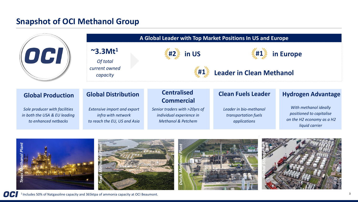## **Snapshot of OCI Methanol Group**



OCI <sup>1</sup> Includes 50% of Natgasoline capacity and 365ktpa of ammonia capacity at OCI Beaumont.